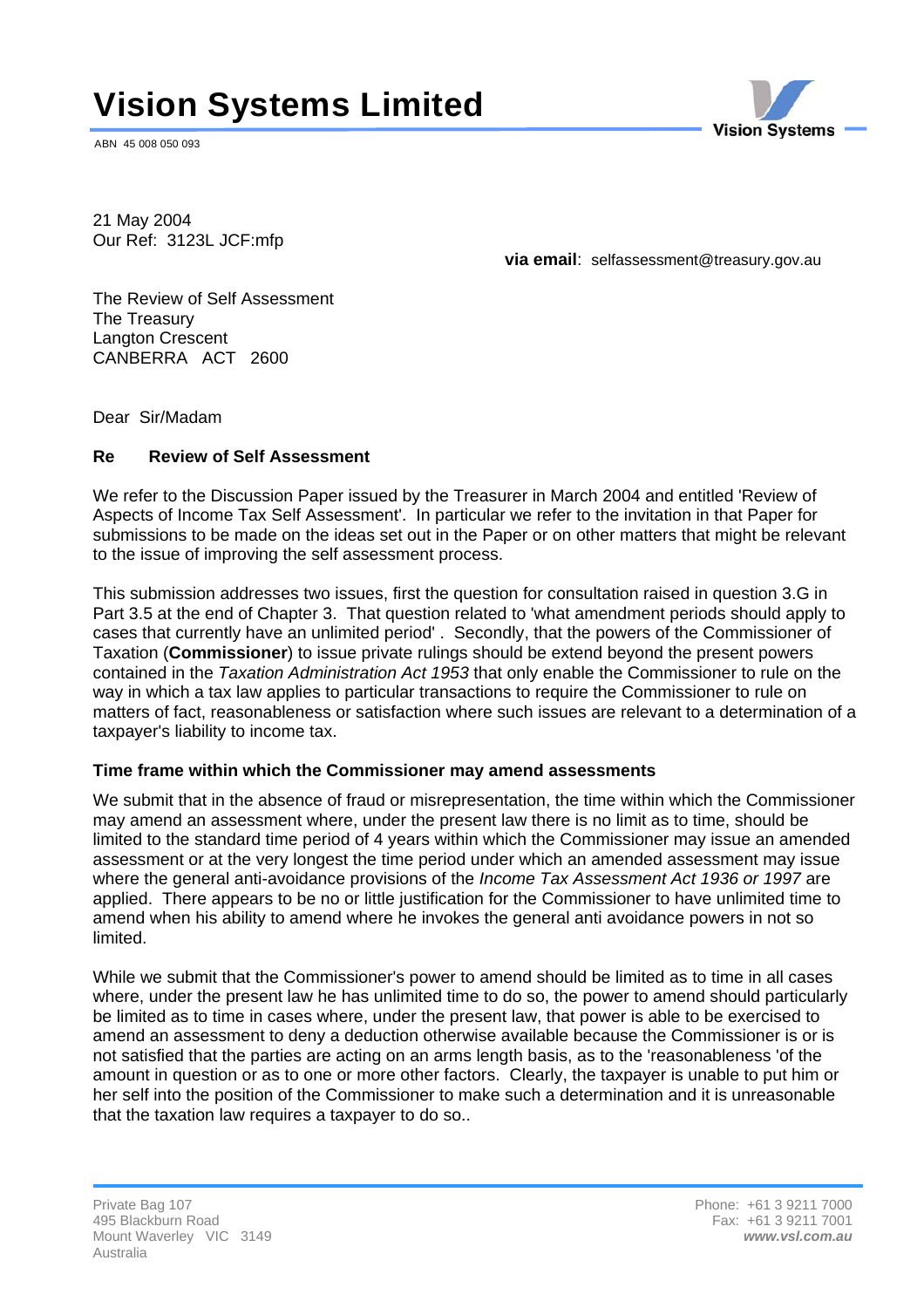# **Vision Systems Limited**

ABN 45 008 050 093



21 May 2004 Our Ref: 3123L JCF:mfp

**via email**: selfassessment@treasury.gov.au

The Review of Self Assessment The Treasury Langton Crescent CANBERRA ACT 2600

Dear Sir/Madam

### **Re Review of Self Assessment**

We refer to the Discussion Paper issued by the Treasurer in March 2004 and entitled 'Review of Aspects of Income Tax Self Assessment'. In particular we refer to the invitation in that Paper for submissions to be made on the ideas set out in the Paper or on other matters that might be relevant to the issue of improving the self assessment process.

This submission addresses two issues, first the question for consultation raised in question 3.G in Part 3.5 at the end of Chapter 3. That question related to 'what amendment periods should apply to cases that currently have an unlimited period' . Secondly, that the powers of the Commissioner of Taxation (**Commissioner**) to issue private rulings should be extend beyond the present powers contained in the *Taxation Administration Act 1953* that only enable the Commissioner to rule on the way in which a tax law applies to particular transactions to require the Commissioner to rule on matters of fact, reasonableness or satisfaction where such issues are relevant to a determination of a taxpayer's liability to income tax.

#### **Time frame within which the Commissioner may amend assessments**

We submit that in the absence of fraud or misrepresentation, the time within which the Commissioner may amend an assessment where, under the present law there is no limit as to time, should be limited to the standard time period of 4 years within which the Commissioner may issue an amended assessment or at the very longest the time period under which an amended assessment may issue where the general anti-avoidance provisions of the *Income Tax Assessment Act 1936 or 1997* are applied. There appears to be no or little justification for the Commissioner to have unlimited time to amend when his ability to amend where he invokes the general anti avoidance powers in not so limited.

While we submit that the Commissioner's power to amend should be limited as to time in all cases where, under the present law he has unlimited time to do so, the power to amend should particularly be limited as to time in cases where, under the present law, that power is able to be exercised to amend an assessment to deny a deduction otherwise available because the Commissioner is or is not satisfied that the parties are acting on an arms length basis, as to the 'reasonableness 'of the amount in question or as to one or more other factors. Clearly, the taxpayer is unable to put him or her self into the position of the Commissioner to make such a determination and it is unreasonable that the taxation law requires a taxpayer to do so..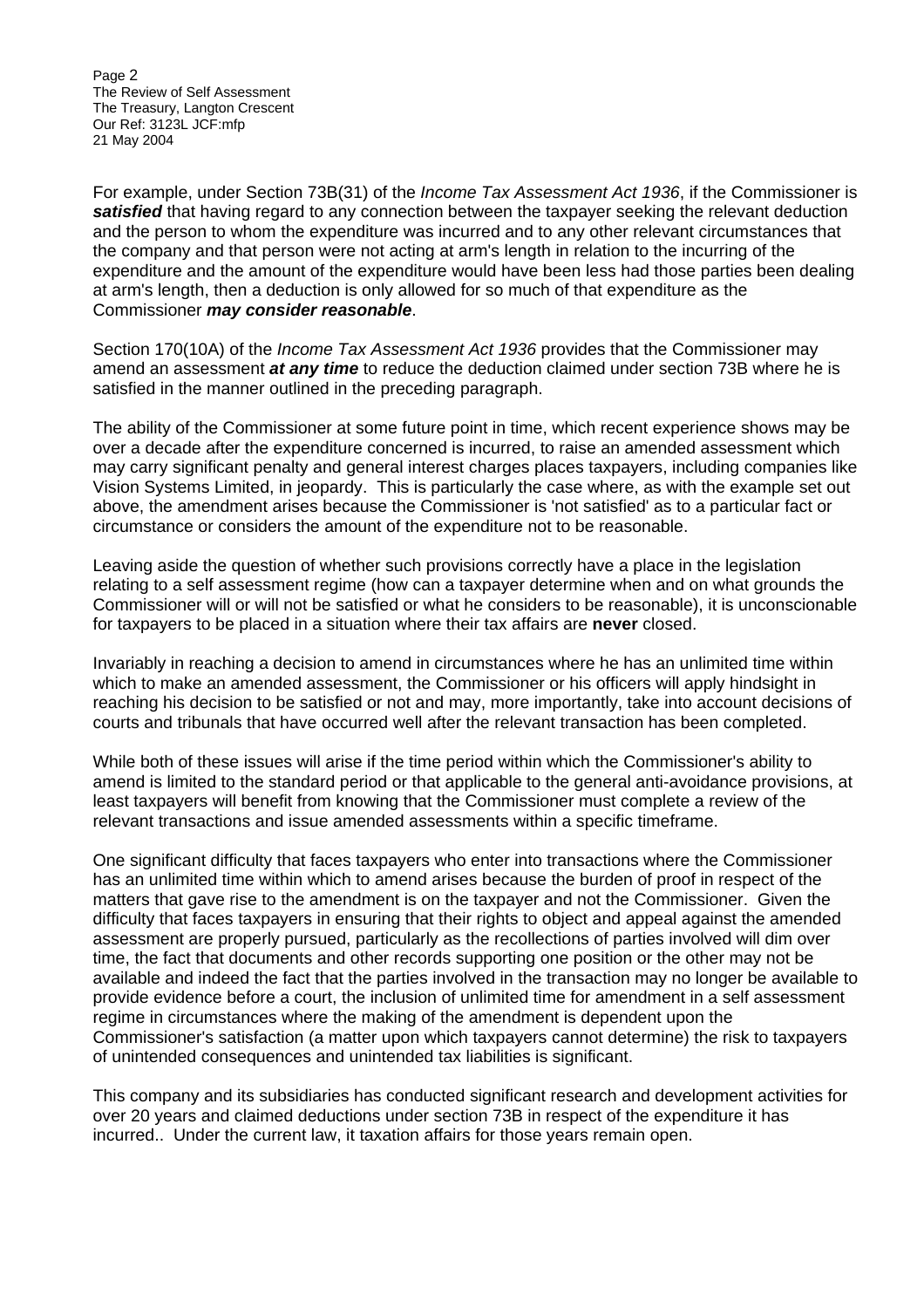Page 2 The Review of Self Assessment The Treasury, Langton Crescent Our Ref: 3123L JCF:mfp 21 May 2004

For example, under Section 73B(31) of the *Income Tax Assessment Act 1936*, if the Commissioner is *satisfied* that having regard to any connection between the taxpayer seeking the relevant deduction and the person to whom the expenditure was incurred and to any other relevant circumstances that the company and that person were not acting at arm's length in relation to the incurring of the expenditure and the amount of the expenditure would have been less had those parties been dealing at arm's length, then a deduction is only allowed for so much of that expenditure as the Commissioner *may consider reasonable*.

Section 170(10A) of the *Income Tax Assessment Act 1936* provides that the Commissioner may amend an assessment *at any time* to reduce the deduction claimed under section 73B where he is satisfied in the manner outlined in the preceding paragraph.

The ability of the Commissioner at some future point in time, which recent experience shows may be over a decade after the expenditure concerned is incurred, to raise an amended assessment which may carry significant penalty and general interest charges places taxpayers, including companies like Vision Systems Limited, in jeopardy. This is particularly the case where, as with the example set out above, the amendment arises because the Commissioner is 'not satisfied' as to a particular fact or circumstance or considers the amount of the expenditure not to be reasonable.

Leaving aside the question of whether such provisions correctly have a place in the legislation relating to a self assessment regime (how can a taxpayer determine when and on what grounds the Commissioner will or will not be satisfied or what he considers to be reasonable), it is unconscionable for taxpayers to be placed in a situation where their tax affairs are **never** closed.

Invariably in reaching a decision to amend in circumstances where he has an unlimited time within which to make an amended assessment, the Commissioner or his officers will apply hindsight in reaching his decision to be satisfied or not and may, more importantly, take into account decisions of courts and tribunals that have occurred well after the relevant transaction has been completed.

While both of these issues will arise if the time period within which the Commissioner's ability to amend is limited to the standard period or that applicable to the general anti-avoidance provisions, at least taxpayers will benefit from knowing that the Commissioner must complete a review of the relevant transactions and issue amended assessments within a specific timeframe.

One significant difficulty that faces taxpayers who enter into transactions where the Commissioner has an unlimited time within which to amend arises because the burden of proof in respect of the matters that gave rise to the amendment is on the taxpayer and not the Commissioner. Given the difficulty that faces taxpayers in ensuring that their rights to object and appeal against the amended assessment are properly pursued, particularly as the recollections of parties involved will dim over time, the fact that documents and other records supporting one position or the other may not be available and indeed the fact that the parties involved in the transaction may no longer be available to provide evidence before a court, the inclusion of unlimited time for amendment in a self assessment regime in circumstances where the making of the amendment is dependent upon the Commissioner's satisfaction (a matter upon which taxpayers cannot determine) the risk to taxpayers of unintended consequences and unintended tax liabilities is significant.

This company and its subsidiaries has conducted significant research and development activities for over 20 years and claimed deductions under section 73B in respect of the expenditure it has incurred.. Under the current law, it taxation affairs for those years remain open.